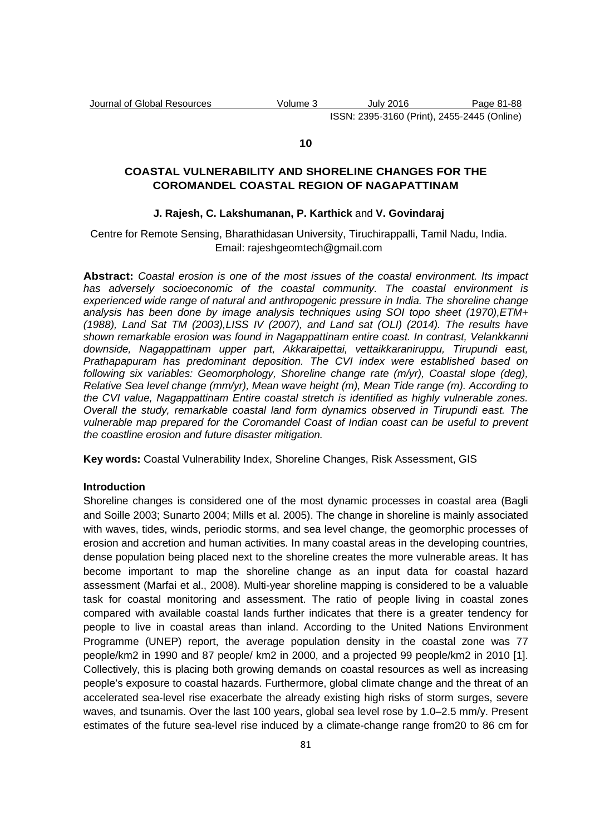#### **10**

# **COASTAL VULNERABILITY AND SHORELINE CHANGES FOR THE COROMANDEL COASTAL REGION OF NAGAPATTINAM**

## **J. Rajesh, C. Lakshumanan, P. Karthick** and **V. Govindaraj**

Centre for Remote Sensing, Bharathidasan University, Tiruchirappalli, Tamil Nadu, India. Email: rajeshgeomtech@gmail.com

**Abstract:** Coastal erosion is one of the most issues of the coastal environment. Its impact has adversely socioeconomic of the coastal community. The coastal environment is experienced wide range of natural and anthropogenic pressure in India. The shoreline change analysis has been done by image analysis techniques using SOI topo sheet (1970), ETM+ (1988), Land Sat TM (2003),LISS IV (2007), and Land sat (OLI) (2014). The results have shown remarkable erosion was found in Nagappattinam entire coast. In contrast, Velankkanni downside, Nagappattinam upper part, Akkaraipettai, vettaikkaraniruppu, Tirupundi east, Prathapapuram has predominant deposition. The CVI index were established based on following six variables: Geomorphology, Shoreline change rate (m/yr), Coastal slope (deg), Relative Sea level change (mm/yr), Mean wave height (m), Mean Tide range (m). According to the CVI value, Nagappattinam Entire coastal stretch is identified as highly vulnerable zones. Overall the study, remarkable coastal land form dynamics observed in Tirupundi east. The vulnerable map prepared for the Coromandel Coast of Indian coast can be useful to prevent the coastline erosion and future disaster mitigation.

**Key words:** Coastal Vulnerability Index, Shoreline Changes, Risk Assessment, GIS

#### **Introduction**

Shoreline changes is considered one of the most dynamic processes in coastal area (Bagli and Soille 2003; Sunarto 2004; Mills et al. 2005). The change in shoreline is mainly associated with waves, tides, winds, periodic storms, and sea level change, the geomorphic processes of erosion and accretion and human activities. In many coastal areas in the developing countries, dense population being placed next to the shoreline creates the more vulnerable areas. It has become important to map the shoreline change as an input data for coastal hazard assessment (Marfai et al., 2008). Multi-year shoreline mapping is considered to be a valuable task for coastal monitoring and assessment. The ratio of people living in coastal zones compared with available coastal lands further indicates that there is a greater tendency for people to live in coastal areas than inland. According to the United Nations Environment Programme (UNEP) report, the average population density in the coastal zone was 77 people/km2 in 1990 and 87 people/ km2 in 2000, and a projected 99 people/km2 in 2010 [1]. Collectively, this is placing both growing demands on coastal resources as well as increasing people's exposure to coastal hazards. Furthermore, global climate change and the threat of an accelerated sea-level rise exacerbate the already existing high risks of storm surges, severe waves, and tsunamis. Over the last 100 years, global sea level rose by 1.0–2.5 mm/y. Present estimates of the future sea-level rise induced by a climate-change range from20 to 86 cm for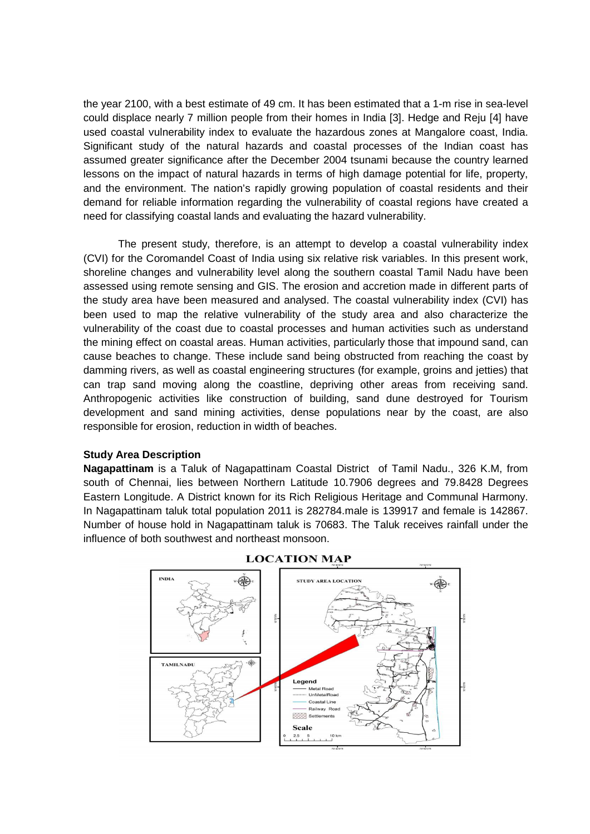the year 2100, with a best estimate of 49 cm. It has been estimated that a 1-m rise in sea-level could displace nearly 7 million people from their homes in India [3]. Hedge and Reju [4] have used coastal vulnerability index to evaluate the hazardous zones at Mangalore coast, India. Significant study of the natural hazards and coastal processes of the Indian coast has assumed greater significance after the December 2004 tsunami because the country learned lessons on the impact of natural hazards in terms of high damage potential for life, property, and the environment. The nation's rapidly growing population of coastal residents and their demand for reliable information regarding the vulnerability of coastal regions have created a need for classifying coastal lands and evaluating the hazard vulnerability.

The present study, therefore, is an attempt to develop a coastal vulnerability index (CVI) for the Coromandel Coast of India using six relative risk variables. In this present work, shoreline changes and vulnerability level along the southern coastal Tamil Nadu have been assessed using remote sensing and GIS. The erosion and accretion made in different parts of the study area have been measured and analysed. The coastal vulnerability index (CVI) has been used to map the relative vulnerability of the study area and also characterize the vulnerability of the coast due to coastal processes and human activities such as understand the mining effect on coastal areas. Human activities, particularly those that impound sand, can cause beaches to change. These include sand being obstructed from reaching the coast by damming rivers, as well as coastal engineering structures (for example, groins and jetties) that can trap sand moving along the coastline, depriving other areas from receiving sand. Anthropogenic activities like construction of building, sand dune destroyed for Tourism development and sand mining activities, dense populations near by the coast, are also responsible for erosion, reduction in width of beaches.

# **Study Area Description**

**Nagapattinam** is a Taluk of Nagapattinam Coastal District of Tamil Nadu., 326 K.M, from south of Chennai, lies between Northern Latitude 10.7906 degrees and 79.8428 Degrees Eastern Longitude. A District known for its Rich Religious Heritage and Communal Harmony. In Nagapattinam taluk total population 2011 is 282784.male is 139917 and female is 142867. Number of house hold in Nagapattinam taluk is 70683. The Taluk receives rainfall under the influence of both southwest and northeast monsoon.



## **LOCATION MAP**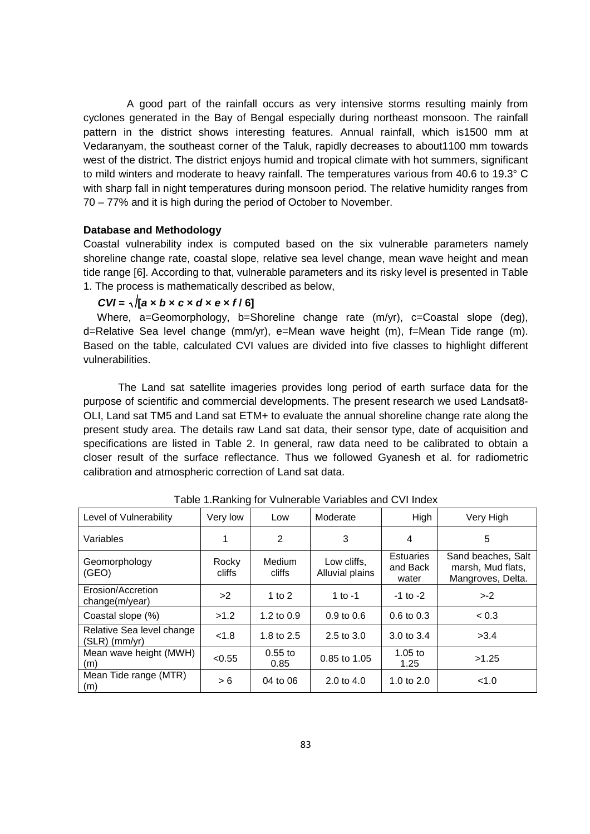A good part of the rainfall occurs as very intensive storms resulting mainly from cyclones generated in the Bay of Bengal especially during northeast monsoon. The rainfall pattern in the district shows interesting features. Annual rainfall, which is1500 mm at Vedaranyam, the southeast corner of the Taluk, rapidly decreases to about1100 mm towards west of the district. The district enjoys humid and tropical climate with hot summers, significant to mild winters and moderate to heavy rainfall. The temperatures various from 40.6 to 19.3° C with sharp fall in night temperatures during monsoon period. The relative humidity ranges from 70 – 77% and it is high during the period of October to November.

#### **Database and Methodology**

Coastal vulnerability index is computed based on the six vulnerable parameters namely shoreline change rate, coastal slope, relative sea level change, mean wave height and mean tide range [6]. According to that, vulnerable parameters and its risky level is presented in Table 1. The process is mathematically described as below,

## $CVI = \sqrt{[a \times b \times c \times d \times e \times f/6]}$

Where, a=Geomorphology, b=Shoreline change rate (m/yr), c=Coastal slope (deg), d=Relative Sea level change (mm/yr), e=Mean wave height (m), f=Mean Tide range (m). Based on the table, calculated CVI values are divided into five classes to highlight different vulnerabilities.

The Land sat satellite imageries provides long period of earth surface data for the purpose of scientific and commercial developments. The present research we used Landsat8- OLI, Land sat TM5 and Land sat ETM+ to evaluate the annual shoreline change rate along the present study area. The details raw Land sat data, their sensor type, date of acquisition and specifications are listed in Table 2. In general, raw data need to be calibrated to obtain a closer result of the surface reflectance. Thus we followed Gyanesh et al. for radiometric calibration and atmospheric correction of Land sat data.

| Level of Vulnerability                       | Very low        | Low               | Moderate                       | High                           | Very High                                                    |
|----------------------------------------------|-----------------|-------------------|--------------------------------|--------------------------------|--------------------------------------------------------------|
| Variables                                    |                 | 2                 | 3                              | 4                              | 5                                                            |
| Geomorphology<br>(GEO)                       | Rocky<br>cliffs | Medium<br>cliffs  | Low cliffs.<br>Alluvial plains | Estuaries<br>and Back<br>water | Sand beaches, Salt<br>marsh, Mud flats,<br>Mangroves, Delta. |
| Erosion/Accretion<br>change(m/year)          | >2              | 1 to $2$          | 1 to -1                        | $-1$ to $-2$                   | $>-2$                                                        |
| Coastal slope (%)                            | >1.2            | 1.2 to $0.9$      | $0.9 \text{ to } 0.6$          | $0.6 \text{ to } 0.3$          | < 0.3                                                        |
| Relative Sea level change<br>$(SLR)$ (mm/yr) | < 1.8           | 1.8 to $2.5$      | 2.5 to $3.0$                   | $3.0 \text{ to } 3.4$          | >3.4                                                         |
| Mean wave height (MWH)<br>(m)                | < 0.55          | $0.55$ to<br>0.85 | 0.85 to 1.05                   | $1.05$ to<br>1.25              | >1.25                                                        |
| Mean Tide range (MTR)<br>(m)                 | > 6             | 04 to 06          | 2.0 to $4.0$                   | 1.0 to $2.0$                   | < 1.0                                                        |

Table 1.Ranking for Vulnerable Variables and CVI Index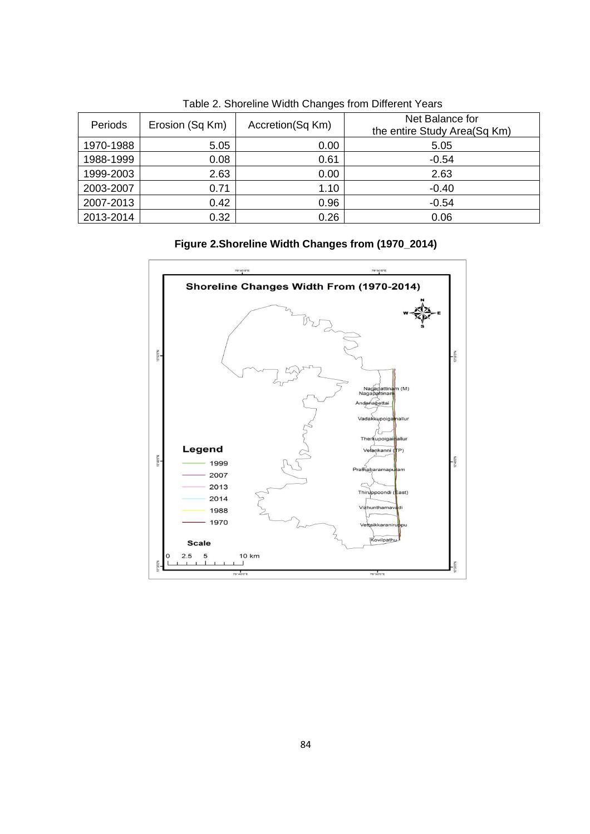| $\sim$ 0.0 $\sim$ 0.1 $\sim$ 0.1 $\sim$ 0.1 $\sim$ 0.1 $\sim$ 0.1 $\sim$ 1.0 $\sim$ 1.0 $\sim$ 1.0 $\sim$ 1.1 $\sim$ 0.1 $\sim$ 0.1 $\sim$ |                 |                  |                                                 |  |  |  |  |
|--------------------------------------------------------------------------------------------------------------------------------------------|-----------------|------------------|-------------------------------------------------|--|--|--|--|
| Periods                                                                                                                                    | Erosion (Sq Km) | Accretion(Sq Km) | Net Balance for<br>the entire Study Area(Sq Km) |  |  |  |  |
| 1970-1988                                                                                                                                  | 5.05            | 0.00             | 5.05                                            |  |  |  |  |
| 1988-1999                                                                                                                                  | 0.08            | 0.61             | $-0.54$                                         |  |  |  |  |
| 1999-2003                                                                                                                                  | 2.63            | 0.00             | 2.63                                            |  |  |  |  |
| 2003-2007                                                                                                                                  | 0.71            | 1.10             | $-0.40$                                         |  |  |  |  |
| 2007-2013                                                                                                                                  | 0.42            | 0.96             | $-0.54$                                         |  |  |  |  |
| 2013-2014                                                                                                                                  | 0.32            | 0.26             | 0.06                                            |  |  |  |  |

Table 2. Shoreline Width Changes from Different Years

# **Figure 2.Shoreline Width Changes from (1970\_2014)**

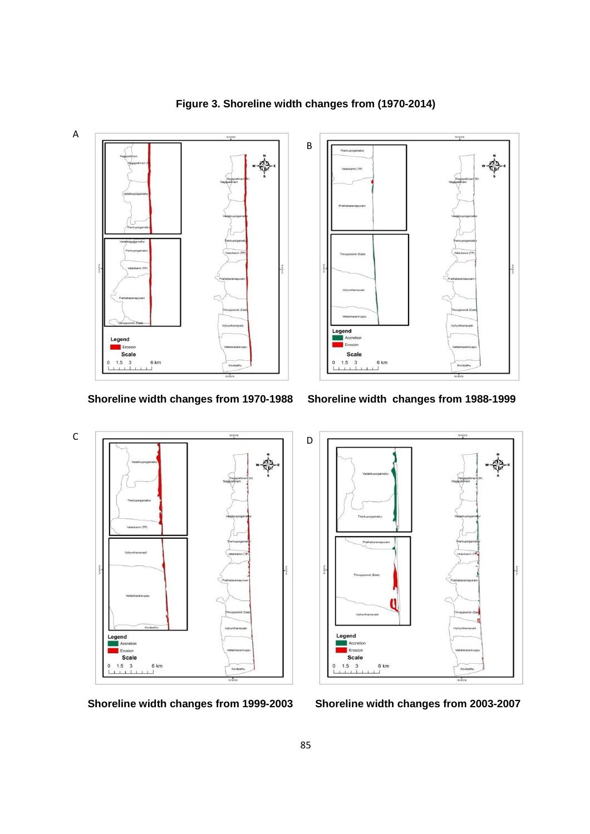

**Figure 3. Shoreline width changes from (1970-2014)** 

**Shoreline width changes from 1970-1988 Shoreline width changes from 1988-1999** 





**Shoreline width changes from 1999-2003 Shoreline width changes from 2003-2007**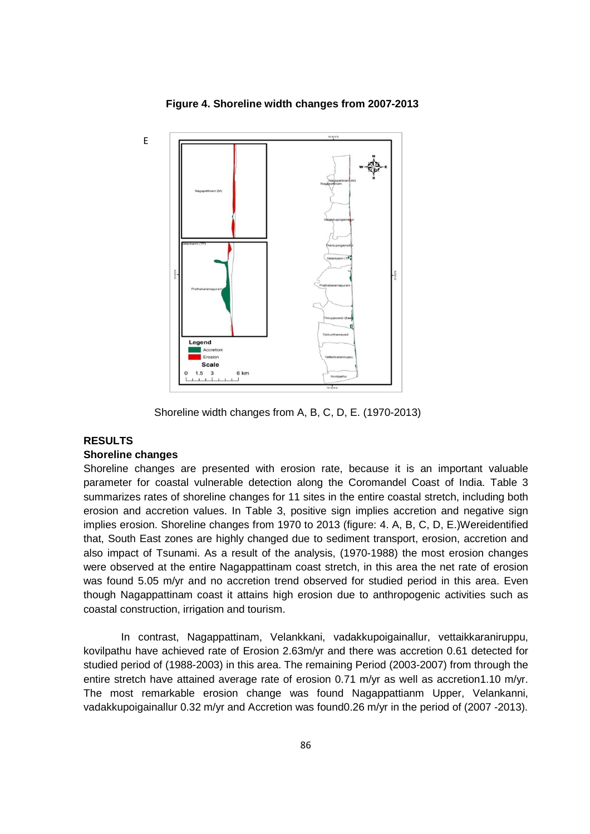

 **Figure 4. Shoreline width changes from 2007-2013** 

Shoreline width changes from A, B, C, D, E. (1970-2013)

# **RESULTS**

# **Shoreline changes**

Shoreline changes are presented with erosion rate, because it is an important valuable parameter for coastal vulnerable detection along the Coromandel Coast of India. Table 3 summarizes rates of shoreline changes for 11 sites in the entire coastal stretch, including both erosion and accretion values. In Table 3, positive sign implies accretion and negative sign implies erosion. Shoreline changes from 1970 to 2013 (figure: 4. A, B, C, D, E.)Wereidentified that, South East zones are highly changed due to sediment transport, erosion, accretion and also impact of Tsunami. As a result of the analysis, (1970-1988) the most erosion changes were observed at the entire Nagappattinam coast stretch, in this area the net rate of erosion was found 5.05 m/yr and no accretion trend observed for studied period in this area. Even though Nagappattinam coast it attains high erosion due to anthropogenic activities such as coastal construction, irrigation and tourism.

 In contrast, Nagappattinam, Velankkani, vadakkupoigainallur, vettaikkaraniruppu, kovilpathu have achieved rate of Erosion 2.63m/yr and there was accretion 0.61 detected for studied period of (1988-2003) in this area. The remaining Period (2003-2007) from through the entire stretch have attained average rate of erosion 0.71 m/yr as well as accretion1.10 m/yr. The most remarkable erosion change was found Nagappattianm Upper, Velankanni, vadakkupoigainallur 0.32 m/yr and Accretion was found0.26 m/yr in the period of (2007 -2013).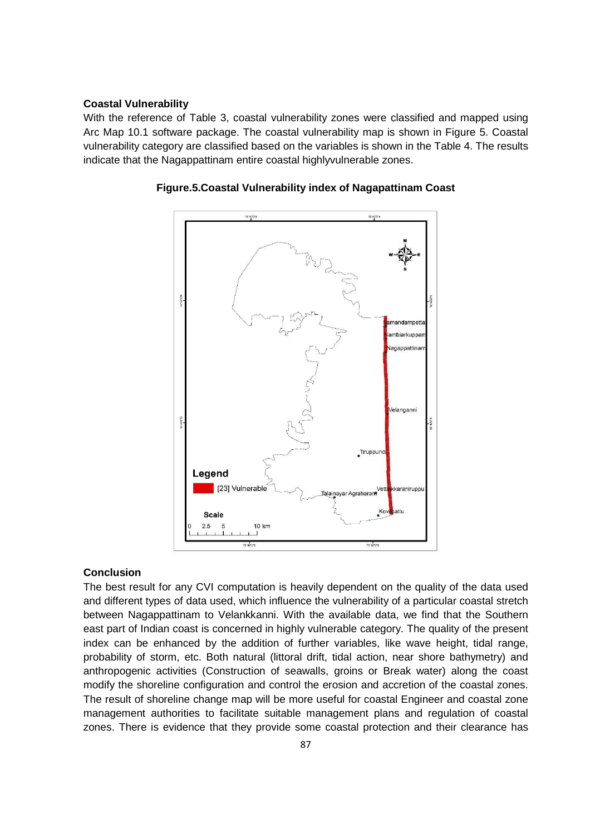## **Coastal Vulnerability**

With the reference of Table 3, coastal vulnerability zones were classified and mapped using Arc Map 10.1 software package. The coastal vulnerability map is shown in Figure 5. Coastal vulnerability category are classified based on the variables is shown in the Table 4. The results indicate that the Nagappattinam entire coastal highlyvulnerable zones.



**Figure.5.Coastal Vulnerability index of Nagapattinam Coast** 

#### **Conclusion**

The best result for any CVI computation is heavily dependent on the quality of the data used and different types of data used, which influence the vulnerability of a particular coastal stretch between Nagappattinam to Velankkanni. With the available data, we find that the Southern east part of Indian coast is concerned in highly vulnerable category. The quality of the present index can be enhanced by the addition of further variables, like wave height, tidal range, probability of storm, etc. Both natural (littoral drift, tidal action, near shore bathymetry) and anthropogenic activities (Construction of seawalls, groins or Break water) along the coast modify the shoreline configuration and control the erosion and accretion of the coastal zones. The result of shoreline change map will be more useful for coastal Engineer and coastal zone management authorities to facilitate suitable management plans and regulation of coastal zones. There is evidence that they provide some coastal protection and their clearance has